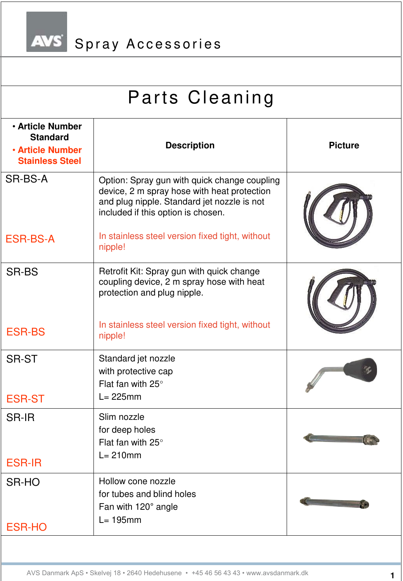AVS Spray Accessories

| Parts Cleaning                                                                                  |                                                                                                                                                                                  |                |  |
|-------------------------------------------------------------------------------------------------|----------------------------------------------------------------------------------------------------------------------------------------------------------------------------------|----------------|--|
| <b>. Article Number</b><br><b>Standard</b><br><b>. Article Number</b><br><b>Stainless Steel</b> | <b>Description</b>                                                                                                                                                               | <b>Picture</b> |  |
| SR-BS-A                                                                                         | Option: Spray gun with quick change coupling<br>device, 2 m spray hose with heat protection<br>and plug nipple. Standard jet nozzle is not<br>included if this option is chosen. |                |  |
| <b>ESR-BS-A</b>                                                                                 | In stainless steel version fixed tight, without<br>nipple!                                                                                                                       |                |  |
| <b>SR-BS</b>                                                                                    | Retrofit Kit: Spray gun with quick change<br>coupling device, 2 m spray hose with heat<br>protection and plug nipple.<br>In stainless steel version fixed tight, without         |                |  |
| <b>ESR-BS</b>                                                                                   | nipple!                                                                                                                                                                          |                |  |
| <b>SR-ST</b>                                                                                    | Standard jet nozzle<br>with protective cap<br>Flat fan with $25^\circ$<br>$L = 225$ mm                                                                                           |                |  |
| <b>ESR-ST</b><br><b>SR-IR</b><br><b>ESR-IR</b>                                                  | Slim nozzle<br>for deep holes<br>Flat fan with $25^\circ$<br>$L = 210$ mm                                                                                                        |                |  |
| SR-HO                                                                                           | Hollow cone nozzle<br>for tubes and blind holes<br>Fan with 120° angle                                                                                                           |                |  |
| <b>ESR-HO</b>                                                                                   | $L = 195$ mm                                                                                                                                                                     |                |  |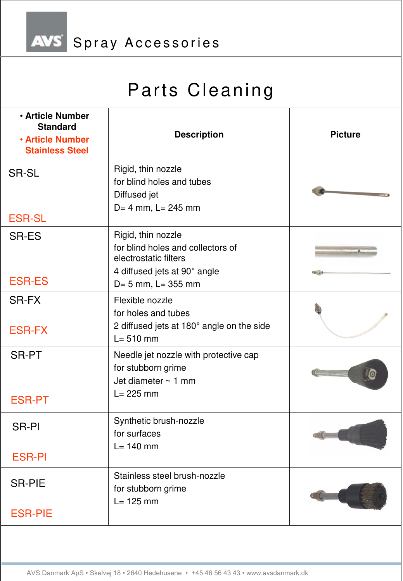AVS Spray Accessories

| <b>Description</b>                                                                          | <b>Picture</b>                                                                                           |
|---------------------------------------------------------------------------------------------|----------------------------------------------------------------------------------------------------------|
| Rigid, thin nozzle<br>for blind holes and tubes<br>Diffused jet<br>$D = 4$ mm, $L = 245$ mm |                                                                                                          |
|                                                                                             |                                                                                                          |
| Rigid, thin nozzle<br>for blind holes and collectors of<br>electrostatic filters            |                                                                                                          |
| D= 5 mm, L= 355 mm                                                                          |                                                                                                          |
| Flexible nozzle<br>for holes and tubes<br>2 diffused jets at 180° angle on the side         |                                                                                                          |
| Needle jet nozzle with protective cap<br>for stubborn grime                                 |                                                                                                          |
| $L = 225$ mm                                                                                |                                                                                                          |
| Synthetic brush-nozzle<br>for surfaces                                                      |                                                                                                          |
|                                                                                             |                                                                                                          |
| Stainless steel brush-nozzle<br>for stubborn grime                                          |                                                                                                          |
|                                                                                             |                                                                                                          |
|                                                                                             | 4 diffused jets at 90° angle<br>$L = 510$ mm<br>Jet diameter $\sim$ 1 mm<br>$L = 140$ mm<br>$L = 125$ mm |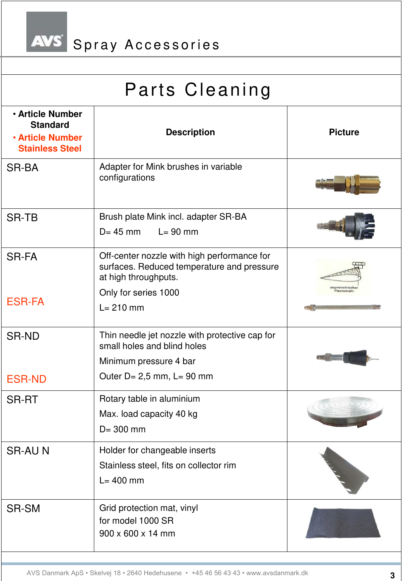

| <b>. Article Number</b><br><b>Standard</b><br><b>. Article Number</b><br><b>Stainless Steel</b> | <b>Description</b>                                                                                                | <b>Picture</b> |
|-------------------------------------------------------------------------------------------------|-------------------------------------------------------------------------------------------------------------------|----------------|
| SR-BA                                                                                           | Adapter for Mink brushes in variable<br>configurations                                                            |                |
| <b>SR-TB</b>                                                                                    | Brush plate Mink incl. adapter SR-BA<br>$D = 45$ mm<br>$L = 90$ mm                                                |                |
| <b>SR-FA</b>                                                                                    | Off-center nozzle with high performance for<br>surfaces. Reduced temperature and pressure<br>at high throughputs. | asymmetrische  |
| <b>ESR-FA</b>                                                                                   | Only for series 1000<br>$L = 210$ mm                                                                              | lachstrahl     |
| <b>SR-ND</b>                                                                                    | Thin needle jet nozzle with protective cap for<br>small holes and blind holes<br>Minimum pressure 4 bar           |                |
| <b>ESR-ND</b>                                                                                   | Outer $D = 2.5$ mm, $L = 90$ mm                                                                                   |                |
| <b>SR-RT</b>                                                                                    | Rotary table in aluminium<br>Max. load capacity 40 kg<br>$D = 300$ mm                                             |                |
| <b>SR-AUN</b>                                                                                   | Holder for changeable inserts<br>Stainless steel, fits on collector rim<br>$L = 400$ mm                           |                |
| SR-SM                                                                                           | Grid protection mat, vinyl<br>for model 1000 SR<br>900 x 600 x 14 mm                                              |                |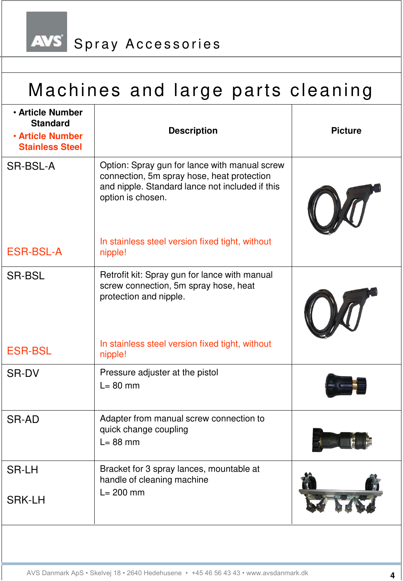AVS Spray Accessories

## Machines and large parts cleaning

| <b>. Article Number</b><br><b>Standard</b><br><b>. Article Number</b><br><b>Stainless Steel</b> | <b>Description</b>                                                                                                                                                  | <b>Picture</b> |
|-------------------------------------------------------------------------------------------------|---------------------------------------------------------------------------------------------------------------------------------------------------------------------|----------------|
| SR-BSL-A                                                                                        | Option: Spray gun for lance with manual screw<br>connection, 5m spray hose, heat protection<br>and nipple. Standard lance not included if this<br>option is chosen. |                |
| <b>ESR-BSL-A</b>                                                                                | In stainless steel version fixed tight, without<br>nipple!                                                                                                          |                |
| <b>SR-BSL</b>                                                                                   | Retrofit kit: Spray gun for lance with manual<br>screw connection, 5m spray hose, heat<br>protection and nipple.                                                    |                |
| <b>ESR-BSL</b>                                                                                  | In stainless steel version fixed tight, without<br>nipple!                                                                                                          |                |
| <b>SR-DV</b>                                                                                    | Pressure adjuster at the pistol<br>$L = 80$ mm                                                                                                                      |                |
| <b>SR-AD</b>                                                                                    | Adapter from manual screw connection to<br>quick change coupling<br>$L = 88$ mm                                                                                     |                |
| <b>SR-LH</b><br><b>SRK-LH</b>                                                                   | Bracket for 3 spray lances, mountable at<br>handle of cleaning machine<br>$L = 200$ mm                                                                              |                |
|                                                                                                 |                                                                                                                                                                     |                |